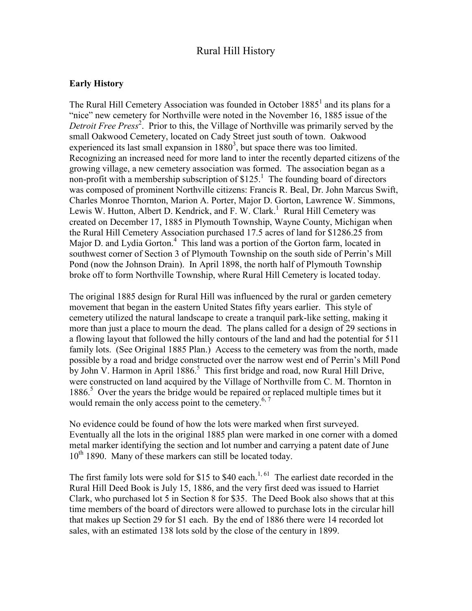# Rural Hill History

### **Early History**

The Rural Hill Cemetery Association was founded in October  $1885<sup>1</sup>$  and its plans for a "nice" new cemetery for Northville were noted in the November 16, 1885 issue of the Detroit Free Press<sup>2</sup>. Prior to this, the Village of Northville was primarily served by the small Oakwood Cemetery, located on Cady Street just south of town. Oakwood experienced its last small expansion in  $1880<sup>3</sup>$ , but space there was too limited. Recognizing an increased need for more land to inter the recently departed citizens of the growing village, a new cemetery association was formed. The association began as a non-profit with a membership subscription of  $$125<sup>1</sup>$  The founding board of directors was composed of prominent Northville citizens: Francis R. Beal, Dr. John Marcus Swift, Charles Monroe Thornton, Marion A. Porter, Major D. Gorton, Lawrence W. Simmons, Lewis W. Hutton, Albert D. Kendrick, and F. W. Clark.<sup>1</sup> Rural Hill Cemetery was created on December 17, 1885 in Plymouth Township, Wayne County, Michigan when the Rural Hill Cemetery Association purchased 17.5 acres of land for \$1286.25 from Major D. and Lydia Gorton.<sup>4</sup> This land was a portion of the Gorton farm, located in southwest corner of Section 3 of Plymouth Township on the south side of Perrin's Mill Pond (now the Johnson Drain). In April 1898, the north half of Plymouth Township broke off to form Northville Township, where Rural Hill Cemetery is located today.

The original 1885 design for Rural Hill was influenced by the rural or garden cemetery movement that began in the eastern United States fifty years earlier. This style of cemetery utilized the natural landscape to create a tranquil park-like setting, making it more than just a place to mourn the dead. The plans called for a design of 29 sections in a flowing layout that followed the hilly contours of the land and had the potential for 511 family lots. (See Original 1885 Plan.) Access to the cemetery was from the north, made possible by a road and bridge constructed over the narrow west end of Perrin's Mill Pond by John V. Harmon in April 1886.<sup>5</sup> This first bridge and road, now Rural Hill Drive, were constructed on land acquired by the Village of Northville from C. M. Thornton in 1886.<sup>5</sup> Over the years the bridge would be repaired or replaced multiple times but it would remain the only access point to the cemetery.<sup>6, 7</sup>

No evidence could be found of how the lots were marked when first surveyed. Eventually all the lots in the original 1885 plan were marked in one corner with a domed metal marker identifying the section and lot number and carrying a patent date of June  $10^{th}$  1890. Many of these markers can still be located today.

The first family lots were sold for \$15 to \$40 each.<sup>1, 61</sup> The earliest date recorded in the Rural Hill Deed Book is July 15, 1886, and the very first deed was issued to Harriet Clark, who purchased lot 5 in Section 8 for \$35. The Deed Book also shows that at this time members of the board of directors were allowed to purchase lots in the circular hill that makes up Section 29 for \$1 each. By the end of 1886 there were 14 recorded lot sales, with an estimated 138 lots sold by the close of the century in 1899.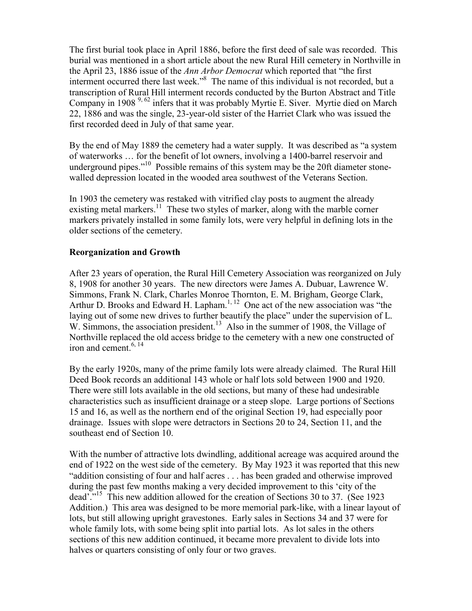The first burial took place in April 1886, before the first deed of sale was recorded. This burial was mentioned in a short article about the new Rural Hill cemetery in Northville in the April 23, 1886 issue of the *Ann Arbor Democrat* which reported that "the first interment occurred there last week."<sup>8</sup> The name of this individual is not recorded, but a transcription of Rural Hill interment records conducted by the Burton Abstract and Title Company in 1908 9, 62 infers that it was probably Myrtie E. Siver. Myrtie died on March 22, 1886 and was the single, 23-year-old sister of the Harriet Clark who was issued the first recorded deed in July of that same year.

By the end of May 1889 the cemetery had a water supply. It was described as "a system of waterworks … for the benefit of lot owners, involving a 1400-barrel reservoir and underground pipes."<sup>10</sup> Possible remains of this system may be the 20ft diameter stonewalled depression located in the wooded area southwest of the Veterans Section.

In 1903 the cemetery was restaked with vitrified clay posts to augment the already existing metal markers.<sup>11</sup> These two styles of marker, along with the marble corner markers privately installed in some family lots, were very helpful in defining lots in the older sections of the cemetery.

## **Reorganization and Growth**

After 23 years of operation, the Rural Hill Cemetery Association was reorganized on July 8, 1908 for another 30 years. The new directors were James A. Dubuar, Lawrence W. Simmons, Frank N. Clark, Charles Monroe Thornton, E. M. Brigham, George Clark, Arthur D. Brooks and Edward H. Lapham.<sup>1, 12</sup> One act of the new association was "the laying out of some new drives to further beautify the place" under the supervision of L. W. Simmons, the association president.<sup>13</sup> Also in the summer of 1908, the Village of Northville replaced the old access bridge to the cemetery with a new one constructed of iron and cement. $6, 14$ 

By the early 1920s, many of the prime family lots were already claimed. The Rural Hill Deed Book records an additional 143 whole or half lots sold between 1900 and 1920. There were still lots available in the old sections, but many of these had undesirable characteristics such as insufficient drainage or a steep slope. Large portions of Sections 15 and 16, as well as the northern end of the original Section 19, had especially poor drainage. Issues with slope were detractors in Sections 20 to 24, Section 11, and the southeast end of Section 10.

With the number of attractive lots dwindling, additional acreage was acquired around the end of 1922 on the west side of the cemetery. By May 1923 it was reported that this new "addition consisting of four and half acres . . . has been graded and otherwise improved during the past few months making a very decided improvement to this 'city of the dead'."<sup>15</sup> This new addition allowed for the creation of Sections 30 to 37. (See 1923) Addition.) This area was designed to be more memorial park-like, with a linear layout of lots, but still allowing upright gravestones. Early sales in Sections 34 and 37 were for whole family lots, with some being split into partial lots. As lot sales in the others sections of this new addition continued, it became more prevalent to divide lots into halves or quarters consisting of only four or two graves.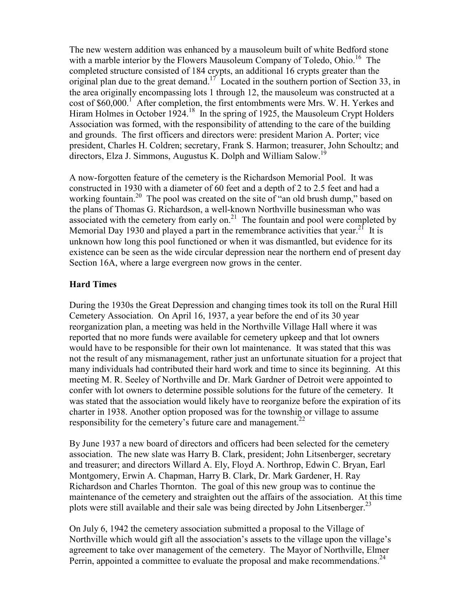The new western addition was enhanced by a mausoleum built of white Bedford stone with a marble interior by the Flowers Mausoleum Company of Toledo, Ohio.<sup>16</sup> The completed structure consisted of 184 crypts, an additional 16 crypts greater than the original plan due to the great demand.<sup>17</sup> Located in the southern portion of Section 33, in the area originally encompassing lots 1 through 12, the mausoleum was constructed at a cost of \$60,000.<sup>1</sup> After completion, the first entombments were Mrs. W. H. Yerkes and Hiram Holmes in October 1924.<sup>18</sup> In the spring of 1925, the Mausoleum Crypt Holders Association was formed, with the responsibility of attending to the care of the building and grounds. The first officers and directors were: president Marion A. Porter; vice president, Charles H. Coldren; secretary, Frank S. Harmon; treasurer, John Schoultz; and directors, Elza J. Simmons, Augustus K. Dolph and William Salow.<sup>19</sup>

A now-forgotten feature of the cemetery is the Richardson Memorial Pool. It was constructed in 1930 with a diameter of 60 feet and a depth of 2 to 2.5 feet and had a working fountain.<sup>20</sup> The pool was created on the site of "an old brush dump," based on the plans of Thomas G. Richardson, a well-known Northville businessman who was associated with the cemetery from early on. $^{21}$  The fountain and pool were completed by Memorial Day 1930 and played a part in the remembrance activities that year.<sup>21</sup> It is unknown how long this pool functioned or when it was dismantled, but evidence for its existence can be seen as the wide circular depression near the northern end of present day Section 16A, where a large evergreen now grows in the center.

### **Hard Times**

During the 1930s the Great Depression and changing times took its toll on the Rural Hill Cemetery Association. On April 16, 1937, a year before the end of its 30 year reorganization plan, a meeting was held in the Northville Village Hall where it was reported that no more funds were available for cemetery upkeep and that lot owners would have to be responsible for their own lot maintenance. It was stated that this was not the result of any mismanagement, rather just an unfortunate situation for a project that many individuals had contributed their hard work and time to since its beginning. At this meeting M. R. Seeley of Northville and Dr. Mark Gardner of Detroit were appointed to confer with lot owners to determine possible solutions for the future of the cemetery. It was stated that the association would likely have to reorganize before the expiration of its charter in 1938. Another option proposed was for the township or village to assume responsibility for the cemetery's future care and management.<sup>22</sup>

By June 1937 a new board of directors and officers had been selected for the cemetery association. The new slate was Harry B. Clark, president; John Litsenberger, secretary and treasurer; and directors Willard A. Ely, Floyd A. Northrop, Edwin C. Bryan, Earl Montgomery, Erwin A. Chapman, Harry B. Clark, Dr. Mark Gardener, H. Ray Richardson and Charles Thornton. The goal of this new group was to continue the maintenance of the cemetery and straighten out the affairs of the association. At this time plots were still available and their sale was being directed by John Litsenberger.<sup>23</sup>

On July 6, 1942 the cemetery association submitted a proposal to the Village of Northville which would gift all the association's assets to the village upon the village's agreement to take over management of the cemetery. The Mayor of Northville, Elmer Perrin, appointed a committee to evaluate the proposal and make recommendations.<sup>24</sup>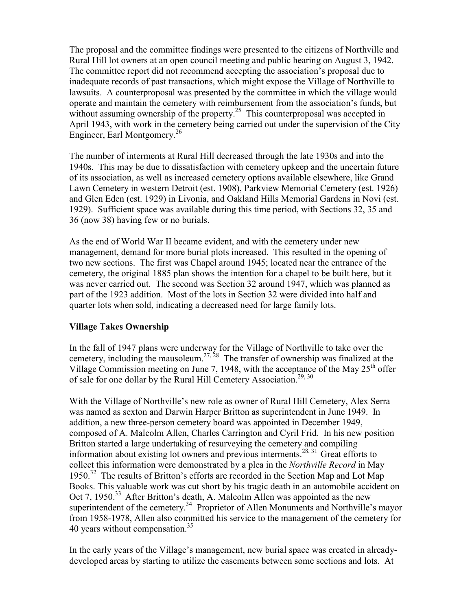The proposal and the committee findings were presented to the citizens of Northville and Rural Hill lot owners at an open council meeting and public hearing on August 3, 1942. The committee report did not recommend accepting the association's proposal due to inadequate records of past transactions, which might expose the Village of Northville to lawsuits. A counterproposal was presented by the committee in which the village would operate and maintain the cemetery with reimbursement from the association's funds, but without assuming ownership of the property.<sup>25</sup> This counterproposal was accepted in April 1943, with work in the cemetery being carried out under the supervision of the City Engineer, Earl Montgomery.<sup>26</sup>

The number of interments at Rural Hill decreased through the late 1930s and into the 1940s. This may be due to dissatisfaction with cemetery upkeep and the uncertain future of its association, as well as increased cemetery options available elsewhere, like Grand Lawn Cemetery in western Detroit (est. 1908), Parkview Memorial Cemetery (est. 1926) and Glen Eden (est. 1929) in Livonia, and Oakland Hills Memorial Gardens in Novi (est. 1929). Sufficient space was available during this time period, with Sections 32, 35 and 36 (now 38) having few or no burials.

As the end of World War II became evident, and with the cemetery under new management, demand for more burial plots increased. This resulted in the opening of two new sections. The first was Chapel around 1945; located near the entrance of the cemetery, the original 1885 plan shows the intention for a chapel to be built here, but it was never carried out. The second was Section 32 around 1947, which was planned as part of the 1923 addition. Most of the lots in Section 32 were divided into half and quarter lots when sold, indicating a decreased need for large family lots.

## **Village Takes Ownership**

In the fall of 1947 plans were underway for the Village of Northville to take over the cemetery, including the mausoleum.<sup>27, 28</sup> The transfer of ownership was finalized at the Village Commission meeting on June 7, 1948, with the acceptance of the May  $25<sup>th</sup>$  offer of sale for one dollar by the Rural Hill Cemetery Association.<sup>29, 30</sup>

With the Village of Northville's new role as owner of Rural Hill Cemetery, Alex Serra was named as sexton and Darwin Harper Britton as superintendent in June 1949. In addition, a new three-person cemetery board was appointed in December 1949, composed of A. Malcolm Allen, Charles Carrington and Cyril Frid. In his new position Britton started a large undertaking of resurveying the cemetery and compiling information about existing lot owners and previous interments.<sup>28, 31</sup> Great efforts to collect this information were demonstrated by a plea in the *Northville Record* in May 1950.<sup>32</sup> The results of Britton's efforts are recorded in the Section Map and Lot Map Books. This valuable work was cut short by his tragic death in an automobile accident on Oct 7, 1950.<sup>33</sup> After Britton's death, A. Malcolm Allen was appointed as the new superintendent of the cemetery.<sup>34</sup> Proprietor of Allen Monuments and Northville's mayor from 1958-1978, Allen also committed his service to the management of the cemetery for 40 years without compensation.<sup>35</sup>

In the early years of the Village's management, new burial space was created in alreadydeveloped areas by starting to utilize the easements between some sections and lots. At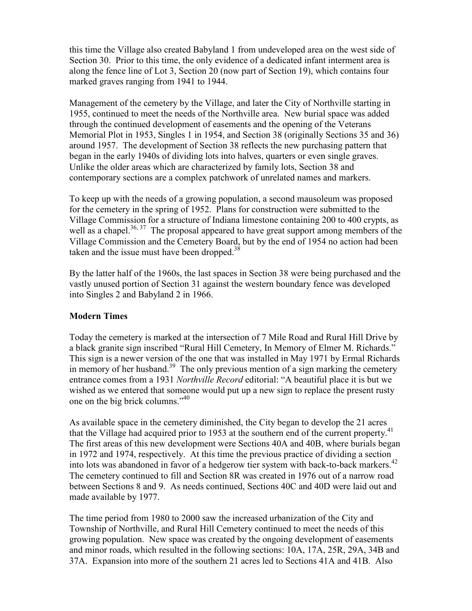this time the Village also created Babyland 1 from undeveloped area on the west side of Section 30. Prior to this time, the only evidence of a dedicated infant interment area is along the fence line of Lot 3, Section 20 (now part of Section 19), which contains four marked graves ranging from 1941 to 1944.

Management of the cemetery by the Village, and later the City of Northville starting in 1955, continued to meet the needs of the Northville area. New burial space was added through the continued development of easements and the opening of the Veterans Memorial Plot in 1953, Singles 1 in 1954, and Section 38 (originally Sections 35 and 36) around 1957. The development of Section 38 reflects the new purchasing pattern that began in the early 1940s of dividing lots into halves, quarters or even single graves. Unlike the older areas which are characterized by family lots, Section 38 and contemporary sections are a complex patchwork of unrelated names and markers.

To keep up with the needs of a growing population, a second mausoleum was proposed for the cemetery in the spring of 1952. Plans for construction were submitted to the Village Commission for a structure of Indiana limestone containing 200 to 400 crypts, as well as a chapel.<sup>36, 37</sup> The proposal appeared to have great support among members of the Village Commission and the Cemetery Board, but by the end of 1954 no action had been taken and the issue must have been dropped.<sup>38</sup>

By the latter half of the 1960s, the last spaces in Section 38 were being purchased and the vastly unused portion of Section 31 against the western boundary fence was developed into Singles 2 and Babyland 2 in 1966.

## **Modern Times**

Today the cemetery is marked at the intersection of 7 Mile Road and Rural Hill Drive by a black granite sign inscribed "Rural Hill Cemetery, In Memory of Elmer M. Richards." This sign is a newer version of the one that was installed in May 1971 by Ermal Richards in memory of her husband.<sup>39</sup> The only previous mention of a sign marking the cemetery entrance comes from a 1931 *Northville Record* editorial: "A beautiful place it is but we wished as we entered that someone would put up a new sign to replace the present rusty one on the big brick columns."<sup>40</sup>

As available space in the cemetery diminished, the City began to develop the 21 acres that the Village had acquired prior to 1953 at the southern end of the current property. $41$ The first areas of this new development were Sections 40A and 40B, where burials began in 1972 and 1974, respectively. At this time the previous practice of dividing a section into lots was abandoned in favor of a hedgerow tier system with back-to-back markers.<sup>42</sup> The cemetery continued to fill and Section 8R was created in 1976 out of a narrow road between Sections 8 and 9. As needs continued, Sections 40C and 40D were laid out and made available by 1977.

The time period from 1980 to 2000 saw the increased urbanization of the City and Township of Northville, and Rural Hill Cemetery continued to meet the needs of this growing population. New space was created by the ongoing development of easements and minor roads, which resulted in the following sections: 10A, 17A, 25R, 29A, 34B and 37A. Expansion into more of the southern 21 acres led to Sections 41A and 41B. Also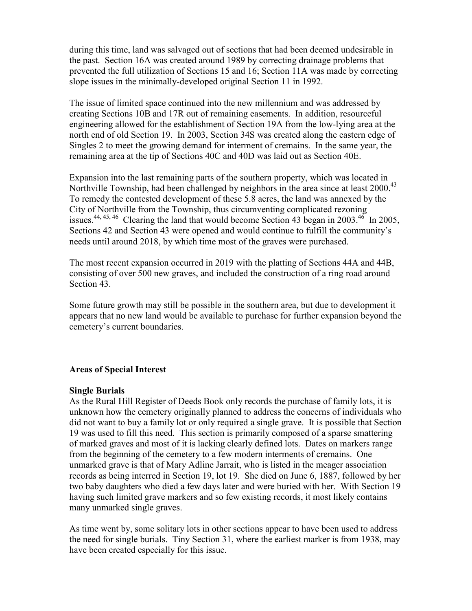during this time, land was salvaged out of sections that had been deemed undesirable in the past. Section 16A was created around 1989 by correcting drainage problems that prevented the full utilization of Sections 15 and 16; Section 11A was made by correcting slope issues in the minimally-developed original Section 11 in 1992.

The issue of limited space continued into the new millennium and was addressed by creating Sections 10B and 17R out of remaining easements. In addition, resourceful engineering allowed for the establishment of Section 19A from the low-lying area at the north end of old Section 19. In 2003, Section 34S was created along the eastern edge of Singles 2 to meet the growing demand for interment of cremains. In the same year, the remaining area at the tip of Sections 40C and 40D was laid out as Section 40E.

Expansion into the last remaining parts of the southern property, which was located in Northville Township, had been challenged by neighbors in the area since at least 2000.<sup>43</sup> To remedy the contested development of these 5.8 acres, the land was annexed by the City of Northville from the Township, thus circumventing complicated rezoning issues.<sup>44, 45, 46</sup> Clearing the land that would become Section 43 began in 2003.<sup>46</sup> In 2005, Sections 42 and Section 43 were opened and would continue to fulfill the community's needs until around 2018, by which time most of the graves were purchased.

The most recent expansion occurred in 2019 with the platting of Sections 44A and 44B, consisting of over 500 new graves, and included the construction of a ring road around Section 43.

Some future growth may still be possible in the southern area, but due to development it appears that no new land would be available to purchase for further expansion beyond the cemetery's current boundaries.

### **Areas of Special Interest**

#### **Single Burials**

As the Rural Hill Register of Deeds Book only records the purchase of family lots, it is unknown how the cemetery originally planned to address the concerns of individuals who did not want to buy a family lot or only required a single grave. It is possible that Section 19 was used to fill this need. This section is primarily composed of a sparse smattering of marked graves and most of it is lacking clearly defined lots. Dates on markers range from the beginning of the cemetery to a few modern interments of cremains. One unmarked grave is that of Mary Adline Jarrait, who is listed in the meager association records as being interred in Section 19, lot 19. She died on June 6, 1887, followed by her two baby daughters who died a few days later and were buried with her. With Section 19 having such limited grave markers and so few existing records, it most likely contains many unmarked single graves.

As time went by, some solitary lots in other sections appear to have been used to address the need for single burials. Tiny Section 31, where the earliest marker is from 1938, may have been created especially for this issue.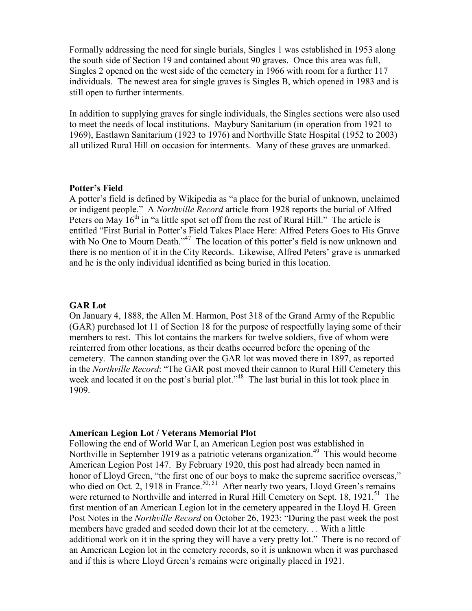Formally addressing the need for single burials, Singles 1 was established in 1953 along the south side of Section 19 and contained about 90 graves. Once this area was full, Singles 2 opened on the west side of the cemetery in 1966 with room for a further 117 individuals. The newest area for single graves is Singles B, which opened in 1983 and is still open to further interments.

In addition to supplying graves for single individuals, the Singles sections were also used to meet the needs of local institutions. Maybury Sanitarium (in operation from 1921 to 1969), Eastlawn Sanitarium (1923 to 1976) and Northville State Hospital (1952 to 2003) all utilized Rural Hill on occasion for interments. Many of these graves are unmarked.

#### **Potter's Field**

A potter's field is defined by Wikipedia as "a place for the burial of unknown, unclaimed or indigent people." A *Northville Record* article from 1928 reports the burial of Alfred Peters on May  $16<sup>th</sup>$  in "a little spot set off from the rest of Rural Hill." The article is entitled "First Burial in Potter's Field Takes Place Here: Alfred Peters Goes to His Grave with No One to Mourn Death."<sup>47</sup> The location of this potter's field is now unknown and there is no mention of it in the City Records. Likewise, Alfred Peters' grave is unmarked and he is the only individual identified as being buried in this location.

#### **GAR Lot**

On January 4, 1888, the Allen M. Harmon, Post 318 of the Grand Army of the Republic (GAR) purchased lot 11 of Section 18 for the purpose of respectfully laying some of their members to rest. This lot contains the markers for twelve soldiers, five of whom were reinterred from other locations, as their deaths occurred before the opening of the cemetery. The cannon standing over the GAR lot was moved there in 1897, as reported in the *Northville Record*: "The GAR post moved their cannon to Rural Hill Cemetery this week and located it on the post's burial plot."<sup>48</sup> The last burial in this lot took place in 1909.

### **American Legion Lot / Veterans Memorial Plot**

Following the end of World War I, an American Legion post was established in Northville in September 1919 as a patriotic veterans organization.<sup>49</sup> This would become American Legion Post 147. By February 1920, this post had already been named in honor of Lloyd Green, "the first one of our boys to make the supreme sacrifice overseas," who died on Oct. 2, 1918 in France.<sup>50, 51</sup> After nearly two years, Lloyd Green's remains were returned to Northville and interred in Rural Hill Cemetery on Sept. 18, 1921.<sup>51</sup> The first mention of an American Legion lot in the cemetery appeared in the Lloyd H. Green Post Notes in the *Northville Record* on October 26, 1923: "During the past week the post members have graded and seeded down their lot at the cemetery. . . With a little additional work on it in the spring they will have a very pretty lot." There is no record of an American Legion lot in the cemetery records, so it is unknown when it was purchased and if this is where Lloyd Green's remains were originally placed in 1921.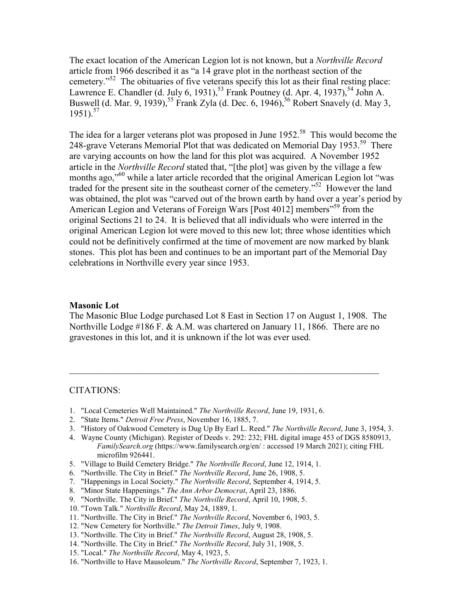The exact location of the American Legion lot is not known, but a *Northville Record* article from 1966 described it as "a 14 grave plot in the northeast section of the cemetery."<sup>52</sup> The obituaries of five veterans specify this lot as their final resting place: Lawrence E. Chandler (d. July 6, 1931),<sup>53</sup> Frank Poutney (d. Apr. 4, 1937),<sup>54</sup> John A. Buswell (d. Mar. 9, 1939),<sup>55</sup> Frank Zyla (d. Dec. 6, 1946),<sup>56</sup> Robert Snavely (d. May 3, 1951).<sup>57</sup>

The idea for a larger veterans plot was proposed in June  $1952$ <sup>58</sup>. This would become the 248-grave Veterans Memorial Plot that was dedicated on Memorial Day 1953.<sup>59</sup> There are varying accounts on how the land for this plot was acquired. A November 1952 article in the *Northville Record* stated that, "[the plot] was given by the village a few months ago,"<sup>60</sup> while a later article recorded that the original American Legion lot "was traded for the present site in the southeast corner of the cemetery."<sup>52</sup> However the land was obtained, the plot was "carved out of the brown earth by hand over a year's period by American Legion and Veterans of Foreign Wars [Post 4012] members"<sup>59</sup> from the original Sections 21 to 24. It is believed that all individuals who were interred in the original American Legion lot were moved to this new lot; three whose identities which could not be definitively confirmed at the time of movement are now marked by blank stones. This plot has been and continues to be an important part of the Memorial Day celebrations in Northville every year since 1953.

#### **Masonic Lot**

The Masonic Blue Lodge purchased Lot 8 East in Section 17 on August 1, 1908. The Northville Lodge #186 F. & A.M. was chartered on January 11, 1866. There are no gravestones in this lot, and it is unknown if the lot was ever used.

 $\_$  , and the set of the set of the set of the set of the set of the set of the set of the set of the set of the set of the set of the set of the set of the set of the set of the set of the set of the set of the set of th

#### CITATIONS:

- 1. "Local Cemeteries Well Maintained." *The Northville Record*, June 19, 1931, 6.
- 2. "State Items." *Detroit Free Press*, November 16, 1885, 7.
- 3. "History of Oakwood Cemetery is Dug Up By Earl L. Reed." *The Northville Record*, June 3, 1954, 3.
- 4. Wayne County (Michigan). Register of Deeds v. 292: 232; FHL digital image 453 of DGS 8580913, *FamilySearch.org* (https://www.familysearch.org/en/ : accessed 19 March 2021); citing FHL microfilm 926441.
- 5. "Village to Build Cemetery Bridge." *The Northville Record*, June 12, 1914, 1.
- 6. "Northville. The City in Brief." *The Northville Record*, June 26, 1908, 5.
- 7. "Happenings in Local Society." *The Northville Record*, September 4, 1914, 5.
- 8. "Minor State Happenings." *The Ann Arbor Democrat*, April 23, 1886.
- 9. "Northville. The City in Brief." *The Northville Record*, April 10, 1908, 5.
- 10. "Town Talk." *Northville Record*, May 24, 1889, 1.
- 11. "Northville. The City in Brief." *The Northville Record*, November 6, 1903, 5.
- 12. "New Cemetery for Northville." *The Detroit Times*, July 9, 1908.
- 13. "Northville. The City in Brief." *The Northville Record*, August 28, 1908, 5.
- 14. "Northville. The City in Brief." *The Northville Record*, July 31, 1908, 5.
- 15. "Local." *The Northville Record*, May 4, 1923, 5.
- 16. "Northville to Have Mausoleum." *The Northville Record*, September 7, 1923, 1.